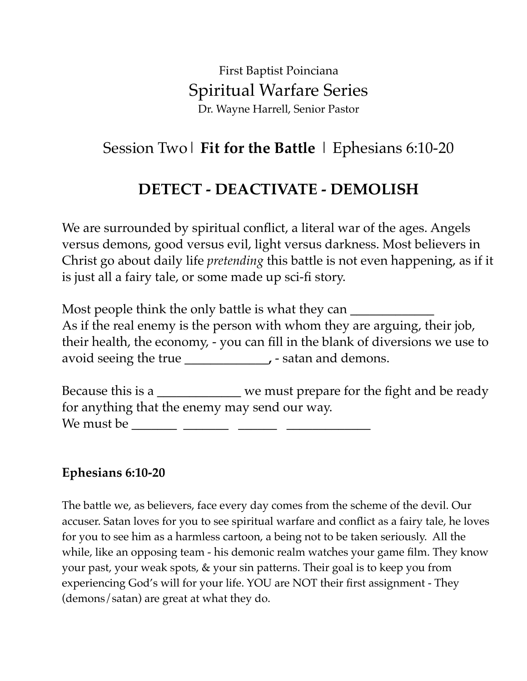First Baptist Poinciana Spiritual Warfare Series Dr. Wayne Harrell, Senior Pastor

# Session Two| **Fit for the Battle** | Ephesians 6:10-20

# **DETECT - DEACTIVATE - DEMOLISH**

We are surrounded by spiritual conflict, a literal war of the ages. Angels versus demons, good versus evil, light versus darkness. Most believers in Christ go about daily life *pretending* this battle is not even happening, as if it is just all a fairy tale, or some made up sci-fi story.

Most people think the only battle is what they can As if the real enemy is the person with whom they are arguing, their job, their health, the economy, - you can fill in the blank of diversions we use to avoid seeing the true **. . .** satan and demons.

Because this is a **\_\_\_\_\_\_\_\_\_\_\_\_\_** we must prepare for the fight and be ready for anything that the enemy may send our way. We must be **\_\_\_\_\_\_\_ \_\_\_\_\_\_\_ \_\_\_\_\_\_ \_\_\_\_\_\_\_\_\_\_\_\_\_** 

#### **Ephesians 6:10-20**

The battle we, as believers, face every day comes from the scheme of the devil. Our accuser. Satan loves for you to see spiritual warfare and conflict as a fairy tale, he loves for you to see him as a harmless cartoon, a being not to be taken seriously. All the while, like an opposing team - his demonic realm watches your game film. They know your past, your weak spots, & your sin patterns. Their goal is to keep you from experiencing God's will for your life. YOU are NOT their first assignment - They (demons/satan) are great at what they do.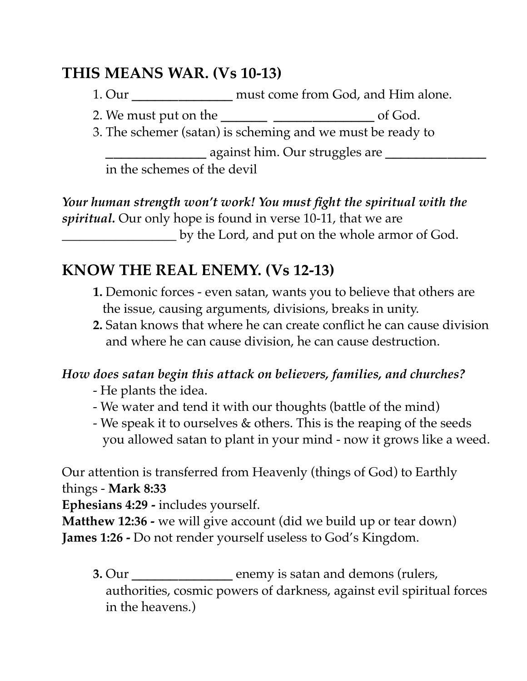## **THIS MEANS WAR. (Vs 10-13)**

1. Our **\_\_\_\_\_\_\_\_\_\_\_\_\_** must come from God, and Him alone.

2. We must put on the **\_\_\_\_\_\_ \_\_\_\_\_\_\_\_\_\_\_\_\_** of God.

3. The schemer (satan) is scheming and we must be ready to **\_\_\_\_\_\_\_\_\_\_\_\_\_** against him. Our struggles are **\_\_\_\_\_\_\_\_\_\_\_\_\_** in the schemes of the devil

*Your human strength won't work! You must fight the spiritual with the spiritual.* Our only hope is found in verse 10-11, that we are **\_\_\_\_\_\_\_\_\_\_\_\_\_\_\_\_\_\_\_** by the Lord, and put on the whole armor of God.

# **KNOW THE REAL ENEMY. (Vs 12-13)**

- **1.** Demonic forces even satan, wants you to believe that others are the issue, causing arguments, divisions, breaks in unity.
- **2.** Satan knows that where he can create conflict he can cause division and where he can cause division, he can cause destruction.

### *How does satan begin this attack on believers, families, and churches?*

- He plants the idea.
- We water and tend it with our thoughts (battle of the mind)
- We speak it to ourselves & others. This is the reaping of the seeds you allowed satan to plant in your mind - now it grows like a weed.

Our attention is transferred from Heavenly (things of God) to Earthly things - **Mark 8:33** 

**Ephesians 4:29 -** includes yourself.

**Matthew 12:36 -** we will give account (did we build up or tear down) **James 1:26 -** Do not render yourself useless to God's Kingdom.

**3.** Our **\_\_\_\_\_\_\_\_\_\_\_\_\_** enemy is satan and demons (rulers, authorities, cosmic powers of darkness, against evil spiritual forces in the heavens.)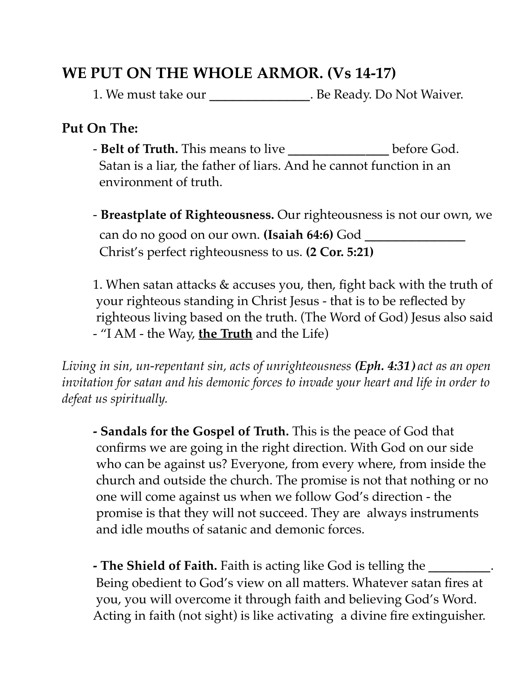## **WE PUT ON THE WHOLE ARMOR. (Vs 14-17)**

1. We must take our **\_\_\_\_\_\_\_\_\_\_\_\_\_**. Be Ready. Do Not Waiver.

#### **Put On The:**

- **Belt of Truth.** This means to live **\_\_\_\_\_\_\_\_\_\_\_\_\_** before God. Satan is a liar, the father of liars. And he cannot function in an environment of truth.
- **Breastplate of Righteousness.** Our righteousness is not our own, we can do no good on our own. **(Isaiah 64:6)** God **\_\_\_\_\_\_\_\_\_\_\_\_\_** Christ's perfect righteousness to us. **(2 Cor. 5:21)**

1. When satan attacks & accuses you, then, fight back with the truth of your righteous standing in Christ Jesus - that is to be reflected by righteous living based on the truth. (The Word of God) Jesus also said - "I AM - the Way, **the Truth** and the Life)

*Living in sin, un-repentant sin, acts of unrighteousness (Eph. 4:31) act as an open invitation for satan and his demonic forces to invade your heart and life in order to defeat us spiritually.*

**- Sandals for the Gospel of Truth.** This is the peace of God that confirms we are going in the right direction. With God on our side who can be against us? Everyone, from every where, from inside the church and outside the church. The promise is not that nothing or no one will come against us when we follow God's direction - the promise is that they will not succeed. They are always instruments and idle mouths of satanic and demonic forces.

**- The Shield of Faith.** Faith is acting like God is telling the **\_\_\_\_\_\_\_\_**. Being obedient to God's view on all matters. Whatever satan fires at you, you will overcome it through faith and believing God's Word. Acting in faith (not sight) is like activating a divine fire extinguisher.